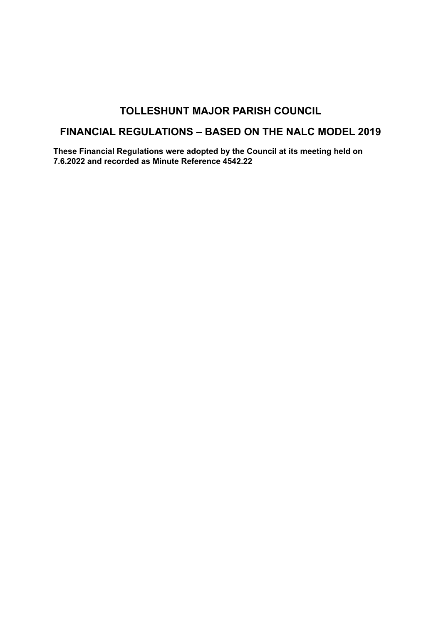## **TOLLESHUNT MAJOR PARISH COUNCIL**

# **FINANCIAL REGULATIONS – BASED ON THE NALC MODEL 2019**

**These Financial Regulations were adopted by the Council at its meeting held on 7.6.2022 and recorded as Minute Reference 4542.22**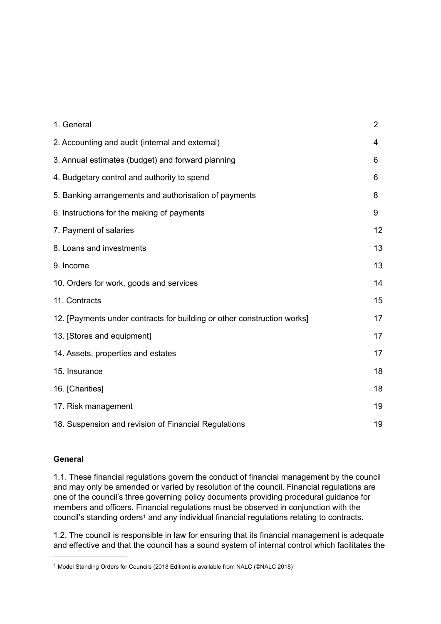| 1. General                                                              | $\overline{2}$ |
|-------------------------------------------------------------------------|----------------|
| 2. Accounting and audit (internal and external)                         | 4              |
| 3. Annual estimates (budget) and forward planning                       | 6              |
| 4. Budgetary control and authority to spend                             | 6              |
| 5. Banking arrangements and authorisation of payments                   | 8              |
| 6. Instructions for the making of payments                              | 9              |
| 7. Payment of salaries                                                  | 12             |
| 8. Loans and investments                                                | 13             |
| 9. Income                                                               | 13             |
| 10. Orders for work, goods and services                                 | 14             |
| 11. Contracts                                                           | 15             |
| 12. [Payments under contracts for building or other construction works] | 17             |
| 13. [Stores and equipment]                                              | 17             |
| 14. Assets, properties and estates                                      | 17             |
| 15. Insurance                                                           | 18             |
| 16. [Charities]                                                         | 18             |
| 17. Risk management                                                     | 19             |
| 18. Suspension and revision of Financial Regulations                    | 19             |

## **General**

1.1. These financial regulations govern the conduct of financial management by the council and may only be amended or varied by resolution of the council. Financial regulations are one of the council's three governing policy documents providing procedural guidance for members and officers. Financial regulations must be observed in conjunction with the council'sstanding orders<sup>1</sup> and any individual financial regulations relating to contracts.

<span id="page-1-1"></span>1.2. The council is responsible in law for ensuring that its financial management is adequate and effective and that the council has a sound system of internal control which facilitates the

<span id="page-1-0"></span><sup>&</sup>lt;sup>[1](#page-1-1)</sup> Model Standing Orders for Councils (2018 Edition) is available from NALC (©NALC 2018)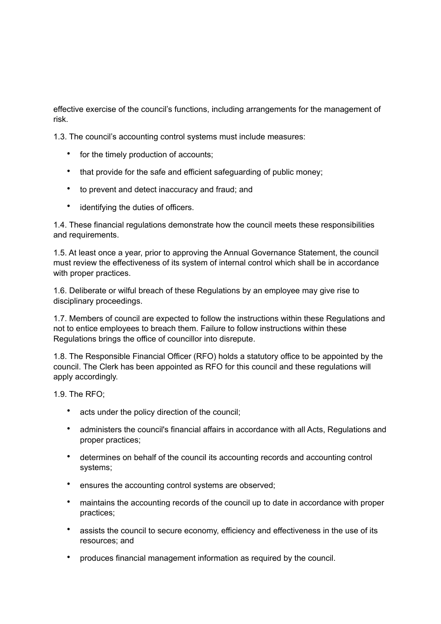effective exercise of the council's functions, including arrangements for the management of risk.

1.3. The council's accounting control systems must include measures:

- for the timely production of accounts;
- that provide for the safe and efficient safeguarding of public money;
- to prevent and detect inaccuracy and fraud; and
- identifying the duties of officers.

1.4. These financial regulations demonstrate how the council meets these responsibilities and requirements.

1.5. At least once a year, prior to approving the Annual Governance Statement, the council must review the effectiveness of its system of internal control which shall be in accordance with proper practices.

1.6. Deliberate or wilful breach of these Regulations by an employee may give rise to disciplinary proceedings.

1.7. Members of council are expected to follow the instructions within these Regulations and not to entice employees to breach them. Failure to follow instructions within these Regulations brings the office of councillor into disrepute.

1.8. The Responsible Financial Officer (RFO) holds a statutory office to be appointed by the council. The Clerk has been appointed as RFO for this council and these regulations will apply accordingly.

1.9. The RFO;

- acts under the policy direction of the council;
- administers the council's financial affairs in accordance with all Acts, Regulations and proper practices;
- determines on behalf of the council its accounting records and accounting control systems;
- ensures the accounting control systems are observed;
- maintains the accounting records of the council up to date in accordance with proper practices;
- assists the council to secure economy, efficiency and effectiveness in the use of its resources; and
- produces financial management information as required by the council.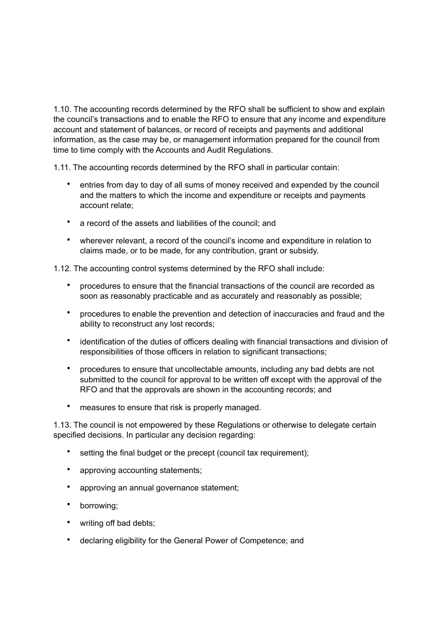1.10. The accounting records determined by the RFO shall be sufficient to show and explain the council's transactions and to enable the RFO to ensure that any income and expenditure account and statement of balances, or record of receipts and payments and additional information, as the case may be, or management information prepared for the council from time to time comply with the Accounts and Audit Regulations.

1.11. The accounting records determined by the RFO shall in particular contain:

- entries from day to day of all sums of money received and expended by the council and the matters to which the income and expenditure or receipts and payments account relate;
- a record of the assets and liabilities of the council; and
- wherever relevant, a record of the council's income and expenditure in relation to claims made, or to be made, for any contribution, grant or subsidy.

1.12. The accounting control systems determined by the RFO shall include:

- procedures to ensure that the financial transactions of the council are recorded as soon as reasonably practicable and as accurately and reasonably as possible;
- procedures to enable the prevention and detection of inaccuracies and fraud and the ability to reconstruct any lost records;
- identification of the duties of officers dealing with financial transactions and division of responsibilities of those officers in relation to significant transactions;
- procedures to ensure that uncollectable amounts, including any bad debts are not submitted to the council for approval to be written off except with the approval of the RFO and that the approvals are shown in the accounting records; and
- measures to ensure that risk is properly managed.

1.13. The council is not empowered by these Regulations or otherwise to delegate certain specified decisions. In particular any decision regarding:

- setting the final budget or the precept (council tax requirement);
- approving accounting statements;
- approving an annual governance statement;
- borrowing;
- writing off bad debts;
- declaring eligibility for the General Power of Competence; and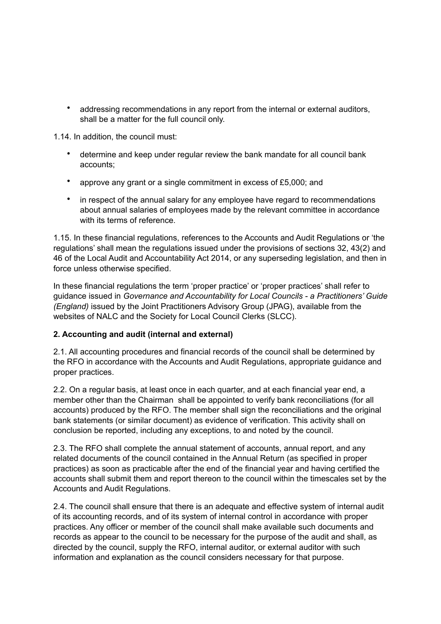• addressing recommendations in any report from the internal or external auditors, shall be a matter for the full council only.

1.14. In addition, the council must:

- determine and keep under regular review the bank mandate for all council bank accounts;
- approve any grant or a single commitment in excess of £5,000; and
- in respect of the annual salary for any employee have regard to recommendations about annual salaries of employees made by the relevant committee in accordance with its terms of reference.

1.15. In these financial regulations, references to the Accounts and Audit Regulations or 'the regulations' shall mean the regulations issued under the provisions of sections 32, 43(2) and 46 of the Local Audit and Accountability Act 2014, or any superseding legislation, and then in force unless otherwise specified.

In these financial regulations the term 'proper practice' or 'proper practices' shall refer to guidance issued in *Governance and Accountability for Local Councils - a Practitioners' Guide (England)* issued by the Joint Practitioners Advisory Group (JPAG), available from the websites of NALC and the Society for Local Council Clerks (SLCC).

## **2. Accounting and audit (internal and external)**

2.1. All accounting procedures and financial records of the council shall be determined by the RFO in accordance with the Accounts and Audit Regulations, appropriate guidance and proper practices.

2.2. On a regular basis, at least once in each quarter, and at each financial year end, a member other than the Chairman shall be appointed to verify bank reconciliations (for all accounts) produced by the RFO. The member shall sign the reconciliations and the original bank statements (or similar document) as evidence of verification. This activity shall on conclusion be reported, including any exceptions, to and noted by the council.

2.3. The RFO shall complete the annual statement of accounts, annual report, and any related documents of the council contained in the Annual Return (as specified in proper practices) as soon as practicable after the end of the financial year and having certified the accounts shall submit them and report thereon to the council within the timescales set by the Accounts and Audit Regulations.

2.4. The council shall ensure that there is an adequate and effective system of internal audit of its accounting records, and of its system of internal control in accordance with proper practices. Any officer or member of the council shall make available such documents and records as appear to the council to be necessary for the purpose of the audit and shall, as directed by the council, supply the RFO, internal auditor, or external auditor with such information and explanation as the council considers necessary for that purpose.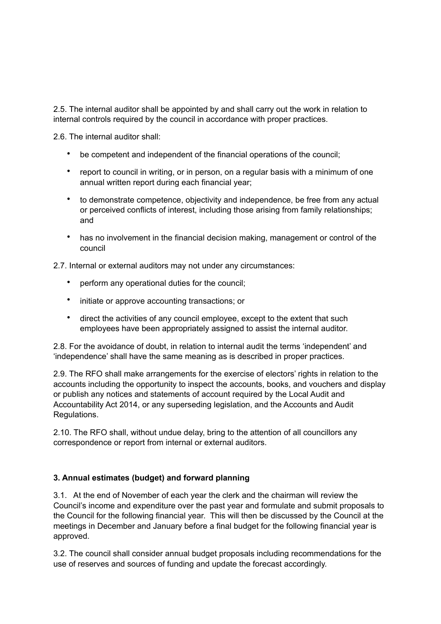2.5. The internal auditor shall be appointed by and shall carry out the work in relation to internal controls required by the council in accordance with proper practices.

2.6. The internal auditor shall:

- be competent and independent of the financial operations of the council;
- report to council in writing, or in person, on a regular basis with a minimum of one annual written report during each financial year;
- to demonstrate competence, objectivity and independence, be free from any actual or perceived conflicts of interest, including those arising from family relationships; and
- has no involvement in the financial decision making, management or control of the council

2.7. Internal or external auditors may not under any circumstances:

- perform any operational duties for the council;
- initiate or approve accounting transactions; or
- direct the activities of any council employee, except to the extent that such employees have been appropriately assigned to assist the internal auditor.

2.8. For the avoidance of doubt, in relation to internal audit the terms 'independent' and 'independence' shall have the same meaning as is described in proper practices.

2.9. The RFO shall make arrangements for the exercise of electors' rights in relation to the accounts including the opportunity to inspect the accounts, books, and vouchers and display or publish any notices and statements of account required by the Local Audit and Accountability Act 2014, or any superseding legislation, and the Accounts and Audit Regulations.

2.10. The RFO shall, without undue delay, bring to the attention of all councillors any correspondence or report from internal or external auditors.

## **3. Annual estimates (budget) and forward planning**

3.1. At the end of November of each year the clerk and the chairman will review the Council's income and expenditure over the past year and formulate and submit proposals to the Council for the following financial year. This will then be discussed by the Council at the meetings in December and January before a final budget for the following financial year is approved.

3.2. The council shall consider annual budget proposals including recommendations for the use of reserves and sources of funding and update the forecast accordingly.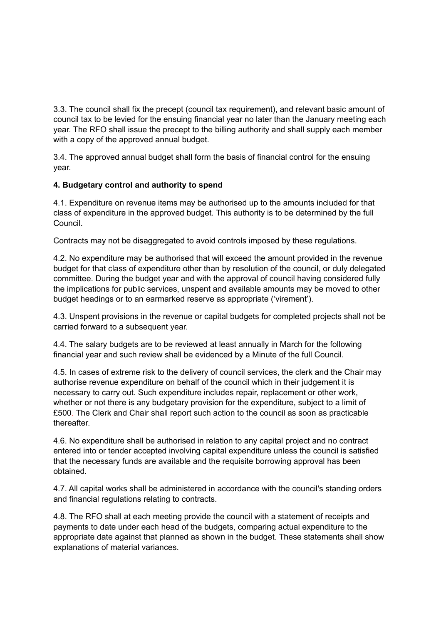3.3. The council shall fix the precept (council tax requirement), and relevant basic amount of council tax to be levied for the ensuing financial year no later than the January meeting each year. The RFO shall issue the precept to the billing authority and shall supply each member with a copy of the approved annual budget.

3.4. The approved annual budget shall form the basis of financial control for the ensuing year.

## **4. Budgetary control and authority to spend**

4.1. Expenditure on revenue items may be authorised up to the amounts included for that class of expenditure in the approved budget. This authority is to be determined by the full Council.

Contracts may not be disaggregated to avoid controls imposed by these regulations.

4.2. No expenditure may be authorised that will exceed the amount provided in the revenue budget for that class of expenditure other than by resolution of the council, or duly delegated committee. During the budget year and with the approval of council having considered fully the implications for public services, unspent and available amounts may be moved to other budget headings or to an earmarked reserve as appropriate ('virement').

4.3. Unspent provisions in the revenue or capital budgets for completed projects shall not be carried forward to a subsequent year.

4.4. The salary budgets are to be reviewed at least annually in March for the following financial year and such review shall be evidenced by a Minute of the full Council.

4.5. In cases of extreme risk to the delivery of council services, the clerk and the Chair may authorise revenue expenditure on behalf of the council which in their judgement it is necessary to carry out. Such expenditure includes repair, replacement or other work, whether or not there is any budgetary provision for the expenditure, subject to a limit of £500. The Clerk and Chair shall report such action to the council as soon as practicable thereafter.

4.6. No expenditure shall be authorised in relation to any capital project and no contract entered into or tender accepted involving capital expenditure unless the council is satisfied that the necessary funds are available and the requisite borrowing approval has been obtained.

4.7. All capital works shall be administered in accordance with the council's standing orders and financial regulations relating to contracts.

4.8. The RFO shall at each meeting provide the council with a statement of receipts and payments to date under each head of the budgets, comparing actual expenditure to the appropriate date against that planned as shown in the budget. These statements shall show explanations of material variances.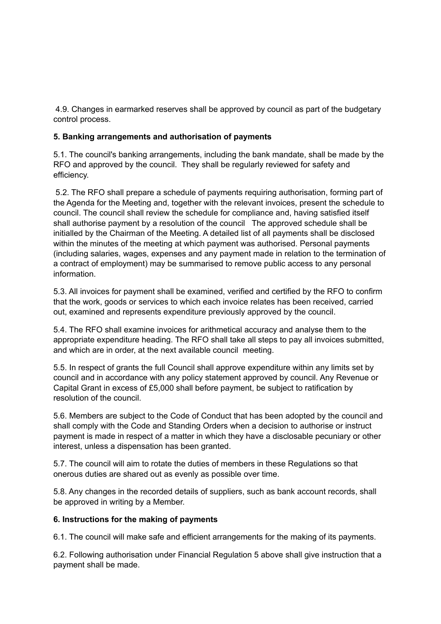4.9. Changes in earmarked reserves shall be approved by council as part of the budgetary control process.

## **5. Banking arrangements and authorisation of payments**

5.1. The council's banking arrangements, including the bank mandate, shall be made by the RFO and approved by the council. They shall be regularly reviewed for safety and efficiency.

 5.2. The RFO shall prepare a schedule of payments requiring authorisation, forming part of the Agenda for the Meeting and, together with the relevant invoices, present the schedule to council. The council shall review the schedule for compliance and, having satisfied itself shall authorise payment by a resolution of the council The approved schedule shall be initialled by the Chairman of the Meeting. A detailed list of all payments shall be disclosed within the minutes of the meeting at which payment was authorised. Personal payments (including salaries, wages, expenses and any payment made in relation to the termination of a contract of employment) may be summarised to remove public access to any personal information.

5.3. All invoices for payment shall be examined, verified and certified by the RFO to confirm that the work, goods or services to which each invoice relates has been received, carried out, examined and represents expenditure previously approved by the council.

5.4. The RFO shall examine invoices for arithmetical accuracy and analyse them to the appropriate expenditure heading. The RFO shall take all steps to pay all invoices submitted, and which are in order, at the next available council meeting.

5.5. In respect of grants the full Council shall approve expenditure within any limits set by council and in accordance with any policy statement approved by council. Any Revenue or Capital Grant in excess of £5,000 shall before payment, be subject to ratification by resolution of the council.

5.6. Members are subject to the Code of Conduct that has been adopted by the council and shall comply with the Code and Standing Orders when a decision to authorise or instruct payment is made in respect of a matter in which they have a disclosable pecuniary or other interest, unless a dispensation has been granted.

5.7. The council will aim to rotate the duties of members in these Regulations so that onerous duties are shared out as evenly as possible over time.

5.8. Any changes in the recorded details of suppliers, such as bank account records, shall be approved in writing by a Member.

### **6. Instructions for the making of payments**

6.1. The council will make safe and efficient arrangements for the making of its payments.

6.2. Following authorisation under Financial Regulation 5 above shall give instruction that a payment shall be made.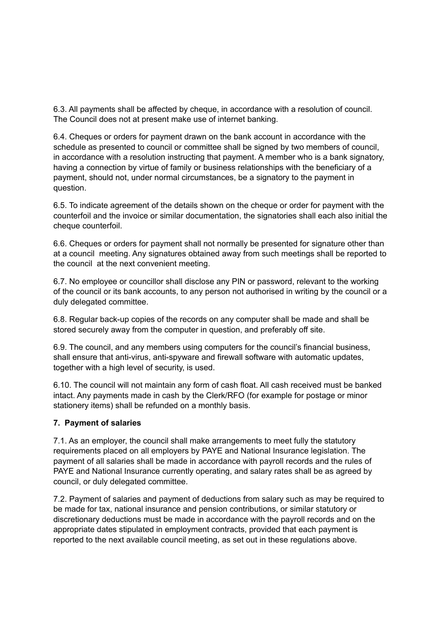6.3. All payments shall be affected by cheque, in accordance with a resolution of council. The Council does not at present make use of internet banking.

6.4. Cheques or orders for payment drawn on the bank account in accordance with the schedule as presented to council or committee shall be signed by two members of council, in accordance with a resolution instructing that payment. A member who is a bank signatory, having a connection by virtue of family or business relationships with the beneficiary of a payment, should not, under normal circumstances, be a signatory to the payment in question.

6.5. To indicate agreement of the details shown on the cheque or order for payment with the counterfoil and the invoice or similar documentation, the signatories shall each also initial the cheque counterfoil.

6.6. Cheques or orders for payment shall not normally be presented for signature other than at a council meeting. Any signatures obtained away from such meetings shall be reported to the council at the next convenient meeting.

6.7. No employee or councillor shall disclose any PIN or password, relevant to the working of the council or its bank accounts, to any person not authorised in writing by the council or a duly delegated committee.

6.8. Regular back-up copies of the records on any computer shall be made and shall be stored securely away from the computer in question, and preferably off site.

6.9. The council, and any members using computers for the council's financial business, shall ensure that anti-virus, anti-spyware and firewall software with automatic updates, together with a high level of security, is used.

6.10. The council will not maintain any form of cash float. All cash received must be banked intact. Any payments made in cash by the Clerk/RFO (for example for postage or minor stationery items) shall be refunded on a monthly basis.

## **7. Payment of salaries**

7.1. As an employer, the council shall make arrangements to meet fully the statutory requirements placed on all employers by PAYE and National Insurance legislation. The payment of all salaries shall be made in accordance with payroll records and the rules of PAYE and National Insurance currently operating, and salary rates shall be as agreed by council, or duly delegated committee.

7.2. Payment of salaries and payment of deductions from salary such as may be required to be made for tax, national insurance and pension contributions, or similar statutory or discretionary deductions must be made in accordance with the payroll records and on the appropriate dates stipulated in employment contracts, provided that each payment is reported to the next available council meeting, as set out in these regulations above.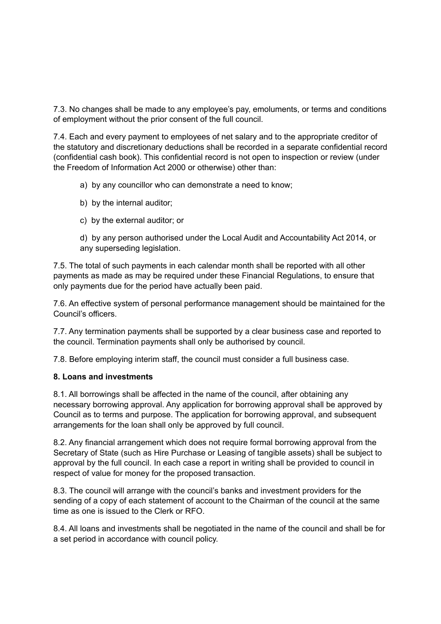7.3. No changes shall be made to any employee's pay, emoluments, or terms and conditions of employment without the prior consent of the full council.

7.4. Each and every payment to employees of net salary and to the appropriate creditor of the statutory and discretionary deductions shall be recorded in a separate confidential record (confidential cash book). This confidential record is not open to inspection or review (under the Freedom of Information Act 2000 or otherwise) other than:

- a) by any councillor who can demonstrate a need to know;
- b) by the internal auditor;
- c) by the external auditor; or

d) by any person authorised under the Local Audit and Accountability Act 2014, or any superseding legislation.

7.5. The total of such payments in each calendar month shall be reported with all other payments as made as may be required under these Financial Regulations, to ensure that only payments due for the period have actually been paid.

7.6. An effective system of personal performance management should be maintained for the Council's officers.

7.7. Any termination payments shall be supported by a clear business case and reported to the council. Termination payments shall only be authorised by council.

7.8. Before employing interim staff, the council must consider a full business case.

### **8. Loans and investments**

8.1. All borrowings shall be affected in the name of the council, after obtaining any necessary borrowing approval. Any application for borrowing approval shall be approved by Council as to terms and purpose. The application for borrowing approval, and subsequent arrangements for the loan shall only be approved by full council.

8.2. Any financial arrangement which does not require formal borrowing approval from the Secretary of State (such as Hire Purchase or Leasing of tangible assets) shall be subject to approval by the full council. In each case a report in writing shall be provided to council in respect of value for money for the proposed transaction.

8.3. The council will arrange with the council's banks and investment providers for the sending of a copy of each statement of account to the Chairman of the council at the same time as one is issued to the Clerk or RFO.

8.4. All loans and investments shall be negotiated in the name of the council and shall be for a set period in accordance with council policy.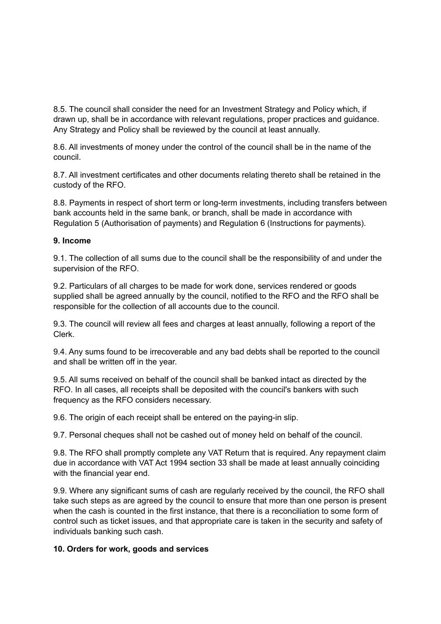8.5. The council shall consider the need for an Investment Strategy and Policy which, if drawn up, shall be in accordance with relevant regulations, proper practices and guidance. Any Strategy and Policy shall be reviewed by the council at least annually.

8.6. All investments of money under the control of the council shall be in the name of the council.

8.7. All investment certificates and other documents relating thereto shall be retained in the custody of the RFO.

8.8. Payments in respect of short term or long-term investments, including transfers between bank accounts held in the same bank, or branch, shall be made in accordance with Regulation 5 (Authorisation of payments) and Regulation 6 (Instructions for payments).

## **9. Income**

9.1. The collection of all sums due to the council shall be the responsibility of and under the supervision of the RFO.

9.2. Particulars of all charges to be made for work done, services rendered or goods supplied shall be agreed annually by the council, notified to the RFO and the RFO shall be responsible for the collection of all accounts due to the council.

9.3. The council will review all fees and charges at least annually, following a report of the Clerk.

9.4. Any sums found to be irrecoverable and any bad debts shall be reported to the council and shall be written off in the year.

9.5. All sums received on behalf of the council shall be banked intact as directed by the RFO. In all cases, all receipts shall be deposited with the council's bankers with such frequency as the RFO considers necessary.

9.6. The origin of each receipt shall be entered on the paying-in slip.

9.7. Personal cheques shall not be cashed out of money held on behalf of the council.

9.8. The RFO shall promptly complete any VAT Return that is required. Any repayment claim due in accordance with VAT Act 1994 section 33 shall be made at least annually coinciding with the financial year end.

9.9. Where any significant sums of cash are regularly received by the council, the RFO shall take such steps as are agreed by the council to ensure that more than one person is present when the cash is counted in the first instance, that there is a reconciliation to some form of control such as ticket issues, and that appropriate care is taken in the security and safety of individuals banking such cash.

### **10. Orders for work, goods and services**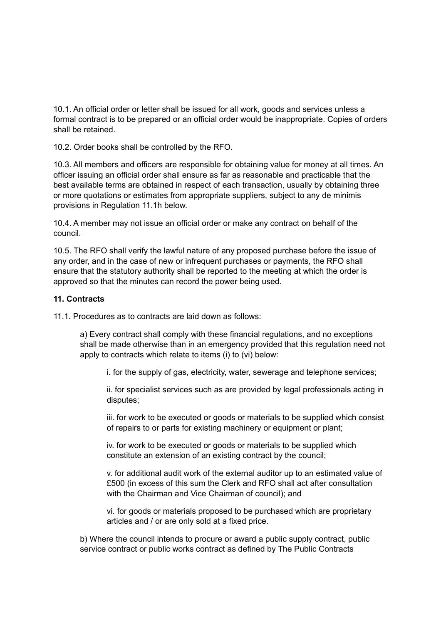10.1. An official order or letter shall be issued for all work, goods and services unless a formal contract is to be prepared or an official order would be inappropriate. Copies of orders shall be retained.

10.2. Order books shall be controlled by the RFO.

10.3. All members and officers are responsible for obtaining value for money at all times. An officer issuing an official order shall ensure as far as reasonable and practicable that the best available terms are obtained in respect of each transaction, usually by obtaining three or more quotations or estimates from appropriate suppliers, subject to any de minimis provisions in Regulation 11.1h below.

10.4. A member may not issue an official order or make any contract on behalf of the council.

10.5. The RFO shall verify the lawful nature of any proposed purchase before the issue of any order, and in the case of new or infrequent purchases or payments, the RFO shall ensure that the statutory authority shall be reported to the meeting at which the order is approved so that the minutes can record the power being used.

#### **11. Contracts**

11.1. Procedures as to contracts are laid down as follows:

a) Every contract shall comply with these financial regulations, and no exceptions shall be made otherwise than in an emergency provided that this regulation need not apply to contracts which relate to items (i) to (vi) below:

i. for the supply of gas, electricity, water, sewerage and telephone services;

ii. for specialist services such as are provided by legal professionals acting in disputes;

iii. for work to be executed or goods or materials to be supplied which consist of repairs to or parts for existing machinery or equipment or plant;

iv. for work to be executed or goods or materials to be supplied which constitute an extension of an existing contract by the council;

v. for additional audit work of the external auditor up to an estimated value of £500 (in excess of this sum the Clerk and RFO shall act after consultation with the Chairman and Vice Chairman of council); and

vi. for goods or materials proposed to be purchased which are proprietary articles and / or are only sold at a fixed price.

b) Where the council intends to procure or award a public supply contract, public service contract or public works contract as defined by The Public Contracts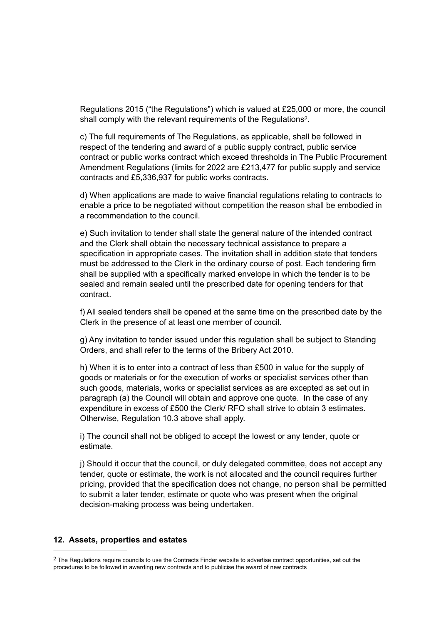<span id="page-12-1"></span>Regulations 2015 ("the Regulations") which is valued at £25,000 or more, the council shall comply with the relevant requirements of the Regulations<sup>[2](#page-12-0)</sup>.

c) The full requirements of The Regulations, as applicable, shall be followed in respect of the tendering and award of a public supply contract, public service contract or public works contract which exceed thresholds in The Public Procurement Amendment Regulations (limits for 2022 are £213,477 for public supply and service contracts and £5,336,937 for public works contracts.

d) When applications are made to waive financial regulations relating to contracts to enable a price to be negotiated without competition the reason shall be embodied in a recommendation to the council.

e) Such invitation to tender shall state the general nature of the intended contract and the Clerk shall obtain the necessary technical assistance to prepare a specification in appropriate cases. The invitation shall in addition state that tenders must be addressed to the Clerk in the ordinary course of post. Each tendering firm shall be supplied with a specifically marked envelope in which the tender is to be sealed and remain sealed until the prescribed date for opening tenders for that contract.

f) All sealed tenders shall be opened at the same time on the prescribed date by the Clerk in the presence of at least one member of council.

g) Any invitation to tender issued under this regulation shall be subject to Standing Orders, and shall refer to the terms of the Bribery Act 2010.

h) When it is to enter into a contract of less than £500 in value for the supply of goods or materials or for the execution of works or specialist services other than such goods, materials, works or specialist services as are excepted as set out in paragraph (a) the Council will obtain and approve one quote. In the case of any expenditure in excess of £500 the Clerk/ RFO shall strive to obtain 3 estimates. Otherwise, Regulation 10.3 above shall apply.

i) The council shall not be obliged to accept the lowest or any tender, quote or estimate.

j) Should it occur that the council, or duly delegated committee, does not accept any tender, quote or estimate, the work is not allocated and the council requires further pricing, provided that the specification does not change, no person shall be permitted to submit a later tender, estimate or quote who was present when the original decision-making process was being undertaken.

#### **12. Assets, properties and estates**

<span id="page-12-0"></span><sup>&</sup>lt;sup>2</sup>The Regulations require councils to use the Contracts Finder website to advertise contract opportunities, set out the procedures to be followed in awarding new contracts and to publicise the award of new contracts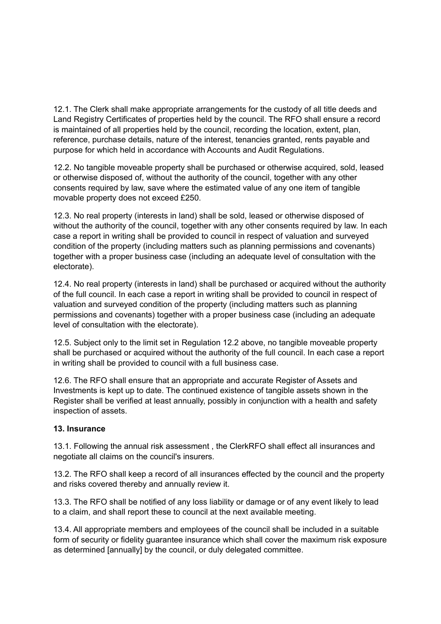12.1. The Clerk shall make appropriate arrangements for the custody of all title deeds and Land Registry Certificates of properties held by the council. The RFO shall ensure a record is maintained of all properties held by the council, recording the location, extent, plan, reference, purchase details, nature of the interest, tenancies granted, rents payable and purpose for which held in accordance with Accounts and Audit Regulations.

12.2. No tangible moveable property shall be purchased or otherwise acquired, sold, leased or otherwise disposed of, without the authority of the council, together with any other consents required by law, save where the estimated value of any one item of tangible movable property does not exceed £250.

12.3. No real property (interests in land) shall be sold, leased or otherwise disposed of without the authority of the council, together with any other consents required by law. In each case a report in writing shall be provided to council in respect of valuation and surveyed condition of the property (including matters such as planning permissions and covenants) together with a proper business case (including an adequate level of consultation with the electorate).

12.4. No real property (interests in land) shall be purchased or acquired without the authority of the full council. In each case a report in writing shall be provided to council in respect of valuation and surveyed condition of the property (including matters such as planning permissions and covenants) together with a proper business case (including an adequate level of consultation with the electorate).

12.5. Subject only to the limit set in Regulation 12.2 above, no tangible moveable property shall be purchased or acquired without the authority of the full council. In each case a report in writing shall be provided to council with a full business case.

12.6. The RFO shall ensure that an appropriate and accurate Register of Assets and Investments is kept up to date. The continued existence of tangible assets shown in the Register shall be verified at least annually, possibly in conjunction with a health and safety inspection of assets.

## **13. Insurance**

13.1. Following the annual risk assessment , the ClerkRFO shall effect all insurances and negotiate all claims on the council's insurers.

13.2. The RFO shall keep a record of all insurances effected by the council and the property and risks covered thereby and annually review it.

13.3. The RFO shall be notified of any loss liability or damage or of any event likely to lead to a claim, and shall report these to council at the next available meeting.

13.4. All appropriate members and employees of the council shall be included in a suitable form of security or fidelity guarantee insurance which shall cover the maximum risk exposure as determined [annually] by the council, or duly delegated committee.